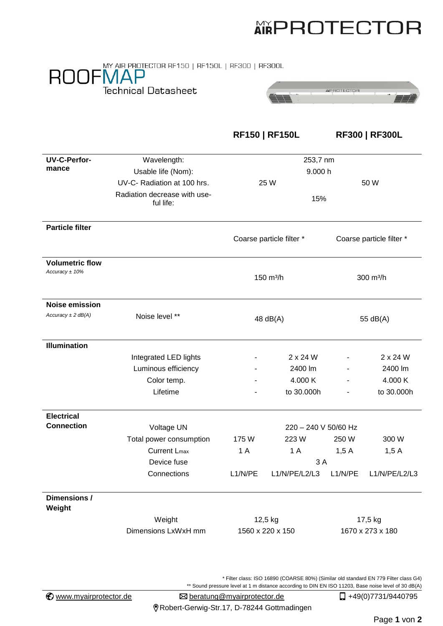## **AIRPROTECTOR**

## ROOFMAP **Technical Datasheet**



**RF150 | RF150L RF300 | RF300L**

| <b>UV-C-Perfor-</b>                        | Wavelength:                               | 253,7 nm                 |                      |                          |                 |  |
|--------------------------------------------|-------------------------------------------|--------------------------|----------------------|--------------------------|-----------------|--|
| mance                                      | Usable life (Nom):                        | 9.000 h                  |                      |                          |                 |  |
|                                            | UV-C- Radiation at 100 hrs.               | 25 W                     |                      | 50 W                     |                 |  |
|                                            | Radiation decrease with use-<br>ful life: | 15%                      |                      |                          |                 |  |
| <b>Particle filter</b>                     |                                           | Coarse particle filter * |                      | Coarse particle filter * |                 |  |
| <b>Volumetric flow</b><br>Accuracy $±$ 10% |                                           | 150 m <sup>3</sup> /h    |                      | 300 m <sup>3</sup> /h    |                 |  |
| <b>Noise emission</b>                      |                                           |                          |                      |                          |                 |  |
| Accuracy $\pm 2$ dB(A)                     | Noise level **                            | 48 $dB(A)$               |                      | 55 dB(A)                 |                 |  |
| <b>Illumination</b>                        |                                           |                          |                      |                          |                 |  |
|                                            | Integrated LED lights                     |                          | $2 \times 24$ W      |                          | $2 \times 24$ W |  |
|                                            | Luminous efficiency                       |                          | 2400 lm              |                          | 2400 lm         |  |
|                                            | Color temp.                               |                          | 4.000 K              |                          | 4.000 K         |  |
|                                            | Lifetime                                  |                          | to 30.000h           |                          | to 30.000h      |  |
| <b>Electrical</b>                          |                                           |                          |                      |                          |                 |  |
| <b>Connection</b>                          | Voltage UN                                |                          | 220 - 240 V 50/60 Hz |                          |                 |  |
|                                            | Total power consumption                   | 175 W                    | 223W                 | 250 W                    | 300 W           |  |
|                                            | <b>Current Lmax</b>                       | 1A                       | 1 A                  | 1,5A                     | 1,5A            |  |
|                                            | Device fuse                               |                          | 3A                   |                          |                 |  |
|                                            | Connections                               | L1/N/PE                  | L1/N/PE/L2/L3        | L1/N/PE                  | L1/N/PE/L2/L3   |  |
| Dimensions /<br>Weight                     |                                           |                          |                      |                          |                 |  |
|                                            | Weight                                    | 12,5 kg                  |                      | 17,5 kg                  |                 |  |
|                                            | Dimensions LxWxH mm                       | 1560 x 220 x 150         |                      | 1670 x 273 x 180         |                 |  |

\* Filter class: ISO 16890 (COARSE 80%) (Similar old standard EN 779 Filter class G4)

\*\* Sound pressure level at 1 m distance according to DIN EN ISO 11203, Base noise level of 30 dB(A)

Robert-Gerwig-Str.17, D-78244 Gottmadingen

Page **1** von **2**